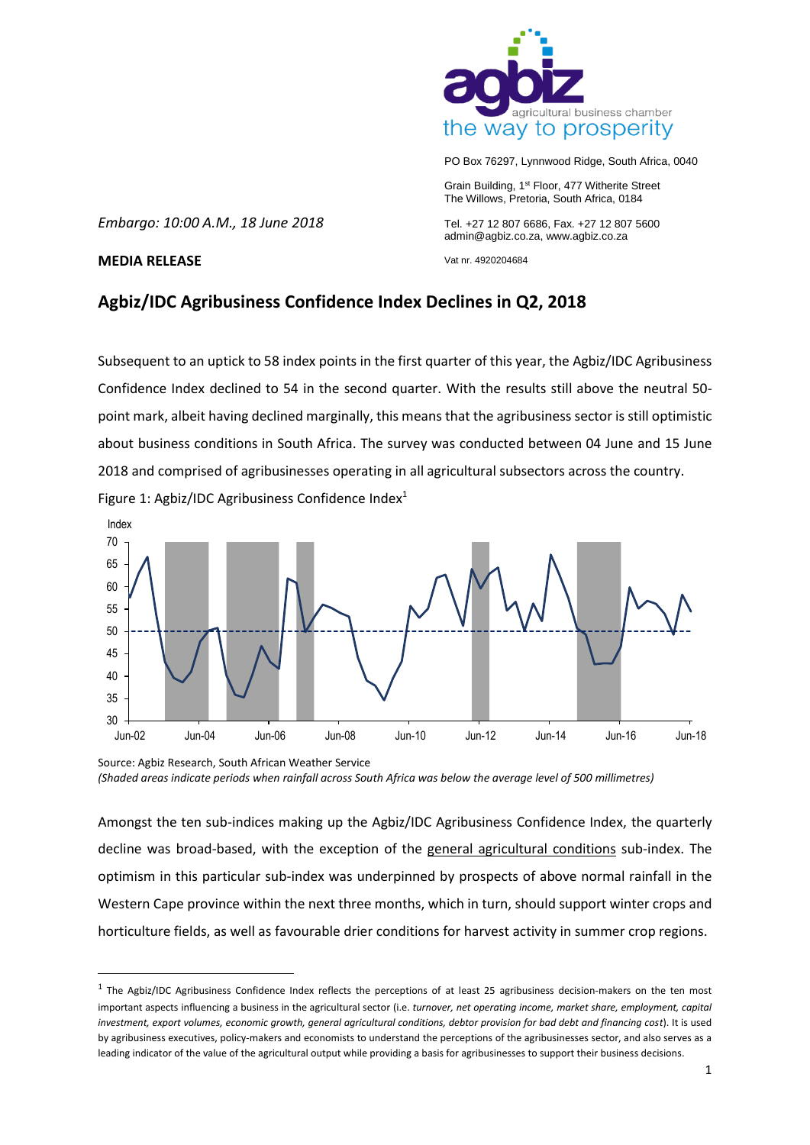

PO Box 76297, Lynnwood Ridge, South Africa, 0040

Grain Building, 1st Floor, 477 Witherite Street The Willows, Pretoria, South Africa, 0184

*Embargo: 10:00 A.M., 18 June 2018*

Tel. +27 12 807 6686, Fax. +27 12 807 5600 admin@agbiz.co.za, www.agbiz.co.za

Vat nr. 4920204684

## **MEDIA RELEASE**

1

# **Agbiz/IDC Agribusiness Confidence Index Declines in Q2, 2018**

Subsequent to an uptick to 58 index points in the first quarter of this year, the Agbiz/IDC Agribusiness Confidence Index declined to 54 in the second quarter. With the results still above the neutral 50 point mark, albeit having declined marginally, this means that the agribusiness sector is still optimistic about business conditions in South Africa. The survey was conducted between 04 June and 15 June 2018 and comprised of agribusinesses operating in all agricultural subsectors across the country. Figure 1: Agbiz/IDC Agribusiness Confidence Index<sup>1</sup>



Source: Agbiz Research, South African Weather Service *(Shaded areas indicate periods when rainfall across South Africa was below the average level of 500 millimetres)*

Amongst the ten sub-indices making up the Agbiz/IDC Agribusiness Confidence Index, the quarterly decline was broad-based, with the exception of the general agricultural conditions sub-index. The optimism in this particular sub-index was underpinned by prospects of above normal rainfall in the Western Cape province within the next three months, which in turn, should support winter crops and horticulture fields, as well as favourable drier conditions for harvest activity in summer crop regions.

<sup>&</sup>lt;sup>1</sup> The Agbiz/IDC Agribusiness Confidence Index reflects the perceptions of at least 25 agribusiness decision-makers on the ten most important aspects influencing a business in the agricultural sector (i.e. *turnover, net operating income, market share, employment, capital investment, export volumes, economic growth, general agricultural conditions, debtor provision for bad debt and financing cost*). It is used by agribusiness executives, policy-makers and economists to understand the perceptions of the agribusinesses sector, and also serves as a leading indicator of the value of the agricultural output while providing a basis for agribusinesses to support their business decisions.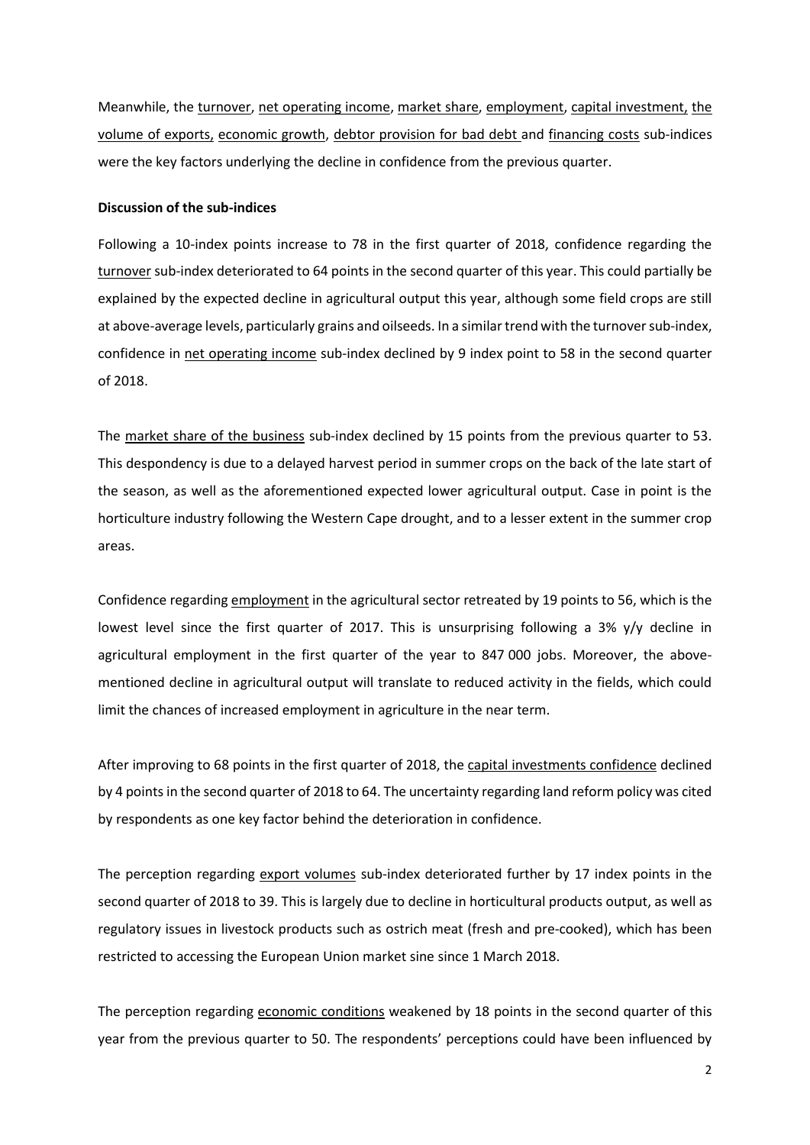Meanwhile, the turnover, net operating income, market share, employment, capital investment, the volume of exports, economic growth, debtor provision for bad debt and financing costs sub-indices were the key factors underlying the decline in confidence from the previous quarter.

#### **Discussion of the sub-indices**

Following a 10-index points increase to 78 in the first quarter of 2018, confidence regarding the turnover sub-index deteriorated to 64 points in the second quarter of this year. This could partially be explained by the expected decline in agricultural output this year, although some field crops are still at above-average levels, particularly grains and oilseeds. In a similar trend with the turnover sub-index, confidence in net operating income sub-index declined by 9 index point to 58 in the second quarter of 2018.

The market share of the business sub-index declined by 15 points from the previous quarter to 53. This despondency is due to a delayed harvest period in summer crops on the back of the late start of the season, as well as the aforementioned expected lower agricultural output. Case in point is the horticulture industry following the Western Cape drought, and to a lesser extent in the summer crop areas.

Confidence regarding employment in the agricultural sector retreated by 19 points to 56, which is the lowest level since the first quarter of 2017. This is unsurprising following a 3% y/y decline in agricultural employment in the first quarter of the year to 847 000 jobs. Moreover, the abovementioned decline in agricultural output will translate to reduced activity in the fields, which could limit the chances of increased employment in agriculture in the near term.

After improving to 68 points in the first quarter of 2018, the capital investments confidence declined by 4 points in the second quarter of 2018 to 64. The uncertainty regarding land reform policy was cited by respondents as one key factor behind the deterioration in confidence.

The perception regarding export volumes sub-index deteriorated further by 17 index points in the second quarter of 2018 to 39. This is largely due to decline in horticultural products output, as well as regulatory issues in livestock products such as ostrich meat (fresh and pre-cooked), which has been restricted to accessing the European Union market sine since 1 March 2018.

The perception regarding economic conditions weakened by 18 points in the second quarter of this year from the previous quarter to 50. The respondents' perceptions could have been influenced by